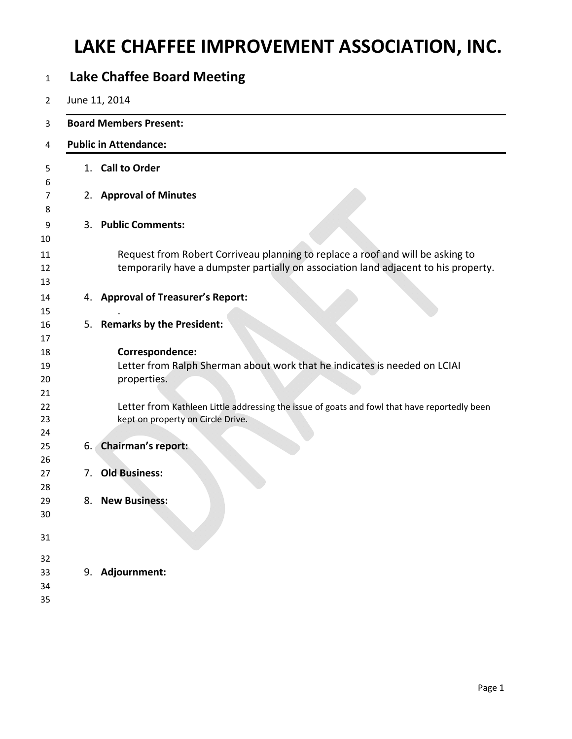## **LAKE CHAFFEE IMPROVEMENT ASSOCIATION, INC.**

| $\mathbf{1}$               |                              | <b>Lake Chaffee Board Meeting</b>                                                                                                                                     |  |  |  |  |  |  |  |  |  |
|----------------------------|------------------------------|-----------------------------------------------------------------------------------------------------------------------------------------------------------------------|--|--|--|--|--|--|--|--|--|
| 2                          |                              | June 11, 2014                                                                                                                                                         |  |  |  |  |  |  |  |  |  |
| 3                          |                              | <b>Board Members Present:</b>                                                                                                                                         |  |  |  |  |  |  |  |  |  |
| 4                          | <b>Public in Attendance:</b> |                                                                                                                                                                       |  |  |  |  |  |  |  |  |  |
| 5<br>6                     |                              | 1. Call to Order                                                                                                                                                      |  |  |  |  |  |  |  |  |  |
| 7<br>8                     |                              | 2. Approval of Minutes                                                                                                                                                |  |  |  |  |  |  |  |  |  |
| 9<br>10                    |                              | 3. Public Comments:                                                                                                                                                   |  |  |  |  |  |  |  |  |  |
| 11<br>12<br>13             |                              | Request from Robert Corriveau planning to replace a roof and will be asking to<br>temporarily have a dumpster partially on association land adjacent to his property. |  |  |  |  |  |  |  |  |  |
| 14<br>15                   |                              | 4. Approval of Treasurer's Report:                                                                                                                                    |  |  |  |  |  |  |  |  |  |
| 16                         | 5.                           | <b>Remarks by the President:</b>                                                                                                                                      |  |  |  |  |  |  |  |  |  |
| 17<br>18<br>19<br>20<br>21 |                              | Correspondence:<br>Letter from Ralph Sherman about work that he indicates is needed on LCIAI<br>properties.                                                           |  |  |  |  |  |  |  |  |  |
| 22<br>23<br>24             |                              | Letter from Kathleen Little addressing the issue of goats and fowl that have reportedly been<br>kept on property on Circle Drive.                                     |  |  |  |  |  |  |  |  |  |
| 25<br>26                   | 6.                           | <b>Chairman's report:</b>                                                                                                                                             |  |  |  |  |  |  |  |  |  |
| 27<br>28                   | 7.                           | <b>Old Business:</b>                                                                                                                                                  |  |  |  |  |  |  |  |  |  |
| 29<br>30                   |                              | 8. New Business:                                                                                                                                                      |  |  |  |  |  |  |  |  |  |
| 31                         |                              |                                                                                                                                                                       |  |  |  |  |  |  |  |  |  |
| 32                         |                              |                                                                                                                                                                       |  |  |  |  |  |  |  |  |  |
| 33<br>34                   |                              | 9. Adjournment:                                                                                                                                                       |  |  |  |  |  |  |  |  |  |
| 35                         |                              |                                                                                                                                                                       |  |  |  |  |  |  |  |  |  |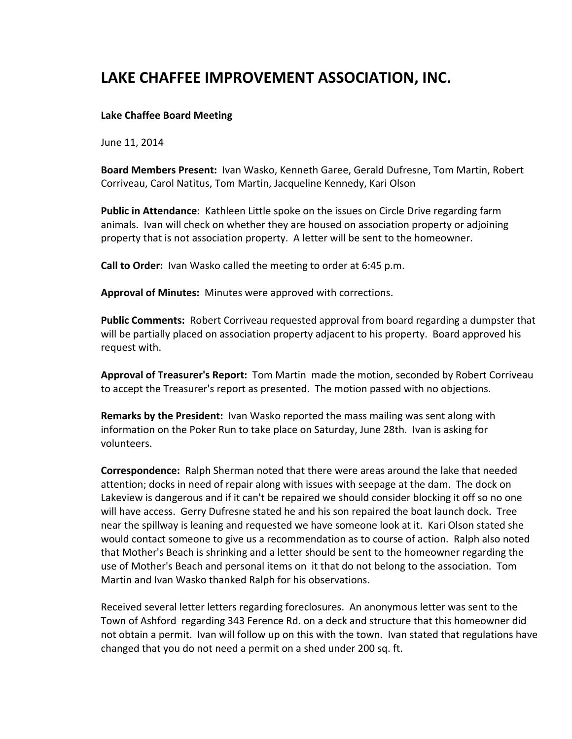## **LAKE CHAFFEE IMPROVEMENT ASSOCIATION, INC.**

## **Lake Chaffee Board Meeting**

June 11, 2014

**Board Members Present:** Ivan Wasko, Kenneth Garee, Gerald Dufresne, Tom Martin, Robert Corriveau, Carol Natitus, Tom Martin, Jacqueline Kennedy, Kari Olson

**Public in Attendance**: Kathleen Little spoke on the issues on Circle Drive regarding farm animals. Ivan will check on whether they are housed on association property or adjoining property that is not association property. A letter will be sent to the homeowner.

**Call to Order:** Ivan Wasko called the meeting to order at 6:45 p.m.

**Approval of Minutes:** Minutes were approved with corrections.

**Public Comments:** Robert Corriveau requested approval from board regarding a dumpster that will be partially placed on association property adjacent to his property. Board approved his request with.

**Approval of Treasurer's Report:** Tom Martin made the motion, seconded by Robert Corriveau to accept the Treasurer's report as presented. The motion passed with no objections.

**Remarks by the President:** Ivan Wasko reported the mass mailing was sent along with information on the Poker Run to take place on Saturday, June 28th. Ivan is asking for volunteers.

**Correspondence:** Ralph Sherman noted that there were areas around the lake that needed attention; docks in need of repair along with issues with seepage at the dam. The dock on Lakeview is dangerous and if it can't be repaired we should consider blocking it off so no one will have access. Gerry Dufresne stated he and his son repaired the boat launch dock. Tree near the spillway is leaning and requested we have someone look at it. Kari Olson stated she would contact someone to give us a recommendation as to course of action. Ralph also noted that Mother's Beach is shrinking and a letter should be sent to the homeowner regarding the use of Mother's Beach and personal items on it that do not belong to the association. Tom Martin and Ivan Wasko thanked Ralph for his observations.

Received several letter letters regarding foreclosures. An anonymous letter was sent to the Town of Ashford regarding 343 Ference Rd. on a deck and structure that this homeowner did not obtain a permit. Ivan will follow up on this with the town. Ivan stated that regulations have changed that you do not need a permit on a shed under 200 sq. ft.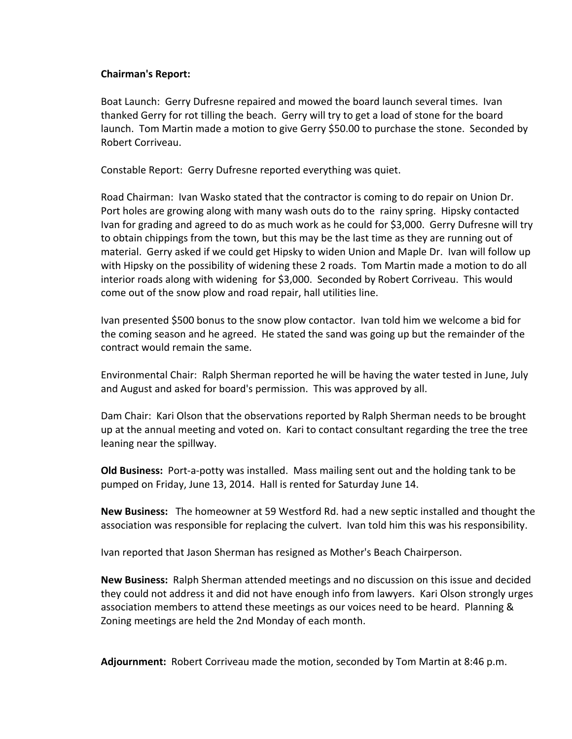## **Chairman's Report:**

Boat Launch: Gerry Dufresne repaired and mowed the board launch several times. Ivan thanked Gerry for rot tilling the beach. Gerry will try to get a load of stone for the board launch. Tom Martin made a motion to give Gerry \$50.00 to purchase the stone. Seconded by Robert Corriveau.

Constable Report: Gerry Dufresne reported everything was quiet.

Road Chairman: Ivan Wasko stated that the contractor is coming to do repair on Union Dr. Port holes are growing along with many wash outs do to the rainy spring. Hipsky contacted Ivan for grading and agreed to do as much work as he could for \$3,000. Gerry Dufresne will try to obtain chippings from the town, but this may be the last time as they are running out of material. Gerry asked if we could get Hipsky to widen Union and Maple Dr. Ivan will follow up with Hipsky on the possibility of widening these 2 roads. Tom Martin made a motion to do all interior roads along with widening for \$3,000. Seconded by Robert Corriveau. This would come out of the snow plow and road repair, hall utilities line.

Ivan presented \$500 bonus to the snow plow contactor. Ivan told him we welcome a bid for the coming season and he agreed. He stated the sand was going up but the remainder of the contract would remain the same.

Environmental Chair: Ralph Sherman reported he will be having the water tested in June, July and August and asked for board's permission. This was approved by all.

Dam Chair: Kari Olson that the observations reported by Ralph Sherman needs to be brought up at the annual meeting and voted on. Kari to contact consultant regarding the tree the tree leaning near the spillway.

**Old Business:** Port-a-potty was installed. Mass mailing sent out and the holding tank to be pumped on Friday, June 13, 2014. Hall is rented for Saturday June 14.

**New Business:** The homeowner at 59 Westford Rd. had a new septic installed and thought the association was responsible for replacing the culvert. Ivan told him this was his responsibility.

Ivan reported that Jason Sherman has resigned as Mother's Beach Chairperson.

New Business: Ralph Sherman attended meetings and no discussion on this issue and decided they could not address it and did not have enough info from lawyers. Kari Olson strongly urges association members to attend these meetings as our voices need to be heard. Planning & Zoning meetings are held the 2nd Monday of each month.

**Adjournment:** Robert Corriveau made the motion, seconded by Tom Martin at 8:46 p.m.